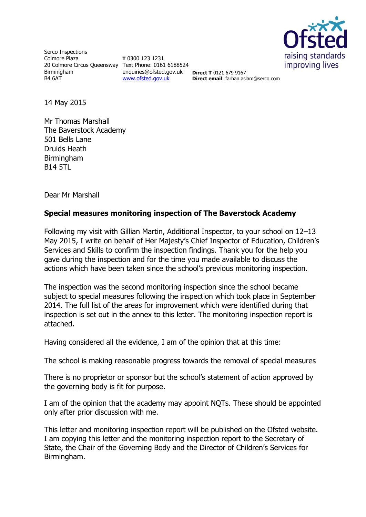

Serco Inspections Colmore Plaza 20 Colmore Circus Queensway Text Phone: 0161 6188524 Birmingham B4 6AT

**T** 0300 123 1231 enquiries@ofsted.gov.uk [www.ofsted.gov.uk](http://www.ofsted.gov.uk/)

**Direct T** 0121 679 9167 **Direct email**: farhan.aslam@serco.com

14 May 2015

Mr Thomas Marshall The Baverstock Academy 501 Bells Lane Druids Heath Birmingham B14 5TL

Dear Mr Marshall

### **Special measures monitoring inspection of The Baverstock Academy**

Following my visit with Gillian Martin, Additional Inspector, to your school on 12–13 May 2015, I write on behalf of Her Majesty's Chief Inspector of Education, Children's Services and Skills to confirm the inspection findings. Thank you for the help you gave during the inspection and for the time you made available to discuss the actions which have been taken since the school's previous monitoring inspection.

The inspection was the second monitoring inspection since the school became subject to special measures following the inspection which took place in September 2014. The full list of the areas for improvement which were identified during that inspection is set out in the annex to this letter. The monitoring inspection report is attached.

Having considered all the evidence, I am of the opinion that at this time:

The school is making reasonable progress towards the removal of special measures

There is no proprietor or sponsor but the school's statement of action approved by the governing body is fit for purpose.

I am of the opinion that the academy may appoint NQTs. These should be appointed only after prior discussion with me.

This letter and monitoring inspection report will be published on the Ofsted website. I am copying this letter and the monitoring inspection report to the Secretary of State, the Chair of the Governing Body and the Director of Children's Services for Birmingham.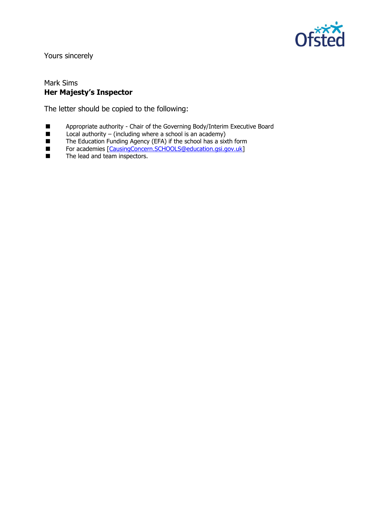

Yours sincerely

#### Mark Sims **Her Majesty's Inspector**

The letter should be copied to the following:

- Appropriate authority Chair of the Governing Body/Interim Executive Board<br>■ Local authority (including where a school is an academy)
- $\blacksquare$  Local authority (including where a school is an academy)
- The Education Funding Agency (EFA) if the school has a sixth form
- For academies [\[CausingConcern.SCHOOLS@education.gsi.gov.uk\]](mailto:CausingConcern.SCHOOLS@education.gsi.gov.uk)
- **The lead and team inspectors.**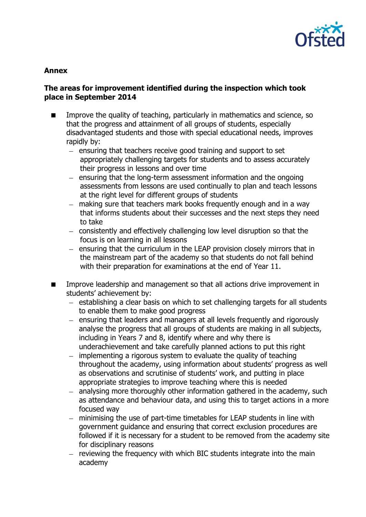

## **Annex**

## **The areas for improvement identified during the inspection which took place in September 2014**

- **IMPROVE the quality of teaching, particularly in mathematics and science, so** that the progress and attainment of all groups of students, especially disadvantaged students and those with special educational needs, improves rapidly by:
	- ensuring that teachers receive good training and support to set appropriately challenging targets for students and to assess accurately their progress in lessons and over time
	- $-$  ensuring that the long-term assessment information and the ongoing assessments from lessons are used continually to plan and teach lessons at the right level for different groups of students
	- making sure that teachers mark books frequently enough and in a way that informs students about their successes and the next steps they need to take
	- consistently and effectively challenging low level disruption so that the focus is on learning in all lessons
	- ensuring that the curriculum in the LEAP provision closely mirrors that in the mainstream part of the academy so that students do not fall behind with their preparation for examinations at the end of Year 11.
- Improve leadership and management so that all actions drive improvement in students' achievement by:
	- $-$  establishing a clear basis on which to set challenging targets for all students to enable them to make good progress
	- ensuring that leaders and managers at all levels frequently and rigorously analyse the progress that all groups of students are making in all subjects, including in Years 7 and 8, identify where and why there is underachievement and take carefully planned actions to put this right
	- $-$  implementing a rigorous system to evaluate the quality of teaching throughout the academy, using information about students' progress as well as observations and scrutinise of students' work, and putting in place appropriate strategies to improve teaching where this is needed
	- analysing more thoroughly other information gathered in the academy, such as attendance and behaviour data, and using this to target actions in a more focused way
	- minimising the use of part-time timetables for LEAP students in line with government guidance and ensuring that correct exclusion procedures are followed if it is necessary for a student to be removed from the academy site for disciplinary reasons
	- $-$  reviewing the frequency with which BIC students integrate into the main academy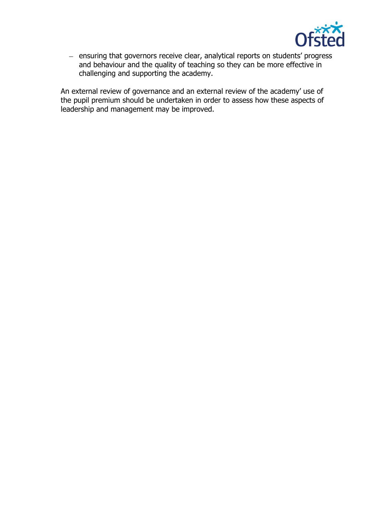

- ensuring that governors receive clear, analytical reports on students' progress and behaviour and the quality of teaching so they can be more effective in challenging and supporting the academy.

An external review of governance and an external review of the academy' use of the pupil premium should be undertaken in order to assess how these aspects of leadership and management may be improved.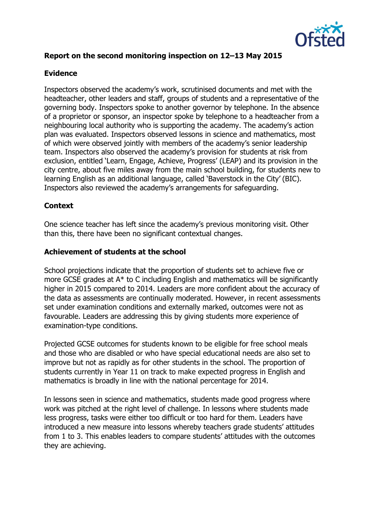

# **Report on the second monitoring inspection on 12–13 May 2015**

### **Evidence**

Inspectors observed the academy's work, scrutinised documents and met with the headteacher, other leaders and staff, groups of students and a representative of the governing body. Inspectors spoke to another governor by telephone. In the absence of a proprietor or sponsor, an inspector spoke by telephone to a headteacher from a neighbouring local authority who is supporting the academy. The academy's action plan was evaluated. Inspectors observed lessons in science and mathematics, most of which were observed jointly with members of the academy's senior leadership team. Inspectors also observed the academy's provision for students at risk from exclusion, entitled 'Learn, Engage, Achieve, Progress' (LEAP) and its provision in the city centre, about five miles away from the main school building, for students new to learning English as an additional language, called 'Baverstock in the City' (BIC). Inspectors also reviewed the academy's arrangements for safeguarding.

## **Context**

One science teacher has left since the academy's previous monitoring visit. Other than this, there have been no significant contextual changes.

#### **Achievement of students at the school**

School projections indicate that the proportion of students set to achieve five or more GCSE grades at A\* to C including English and mathematics will be significantly higher in 2015 compared to 2014. Leaders are more confident about the accuracy of the data as assessments are continually moderated. However, in recent assessments set under examination conditions and externally marked, outcomes were not as favourable. Leaders are addressing this by giving students more experience of examination-type conditions.

Projected GCSE outcomes for students known to be eligible for free school meals and those who are disabled or who have special educational needs are also set to improve but not as rapidly as for other students in the school. The proportion of students currently in Year 11 on track to make expected progress in English and mathematics is broadly in line with the national percentage for 2014.

In lessons seen in science and mathematics, students made good progress where work was pitched at the right level of challenge. In lessons where students made less progress, tasks were either too difficult or too hard for them. Leaders have introduced a new measure into lessons whereby teachers grade students' attitudes from 1 to 3. This enables leaders to compare students' attitudes with the outcomes they are achieving.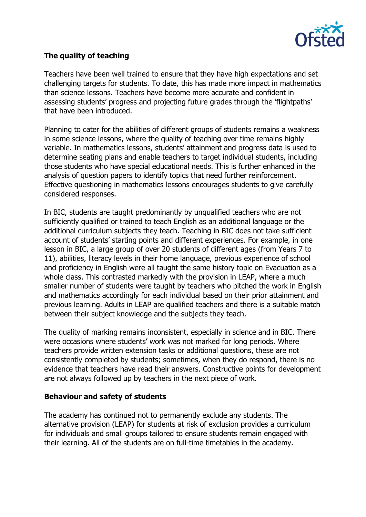

# **The quality of teaching**

Teachers have been well trained to ensure that they have high expectations and set challenging targets for students. To date, this has made more impact in mathematics than science lessons. Teachers have become more accurate and confident in assessing students' progress and projecting future grades through the 'flightpaths' that have been introduced.

Planning to cater for the abilities of different groups of students remains a weakness in some science lessons, where the quality of teaching over time remains highly variable. In mathematics lessons, students' attainment and progress data is used to determine seating plans and enable teachers to target individual students, including those students who have special educational needs. This is further enhanced in the analysis of question papers to identify topics that need further reinforcement. Effective questioning in mathematics lessons encourages students to give carefully considered responses.

In BIC, students are taught predominantly by unqualified teachers who are not sufficiently qualified or trained to teach English as an additional language or the additional curriculum subjects they teach. Teaching in BIC does not take sufficient account of students' starting points and different experiences. For example, in one lesson in BIC, a large group of over 20 students of different ages (from Years 7 to 11), abilities, literacy levels in their home language, previous experience of school and proficiency in English were all taught the same history topic on Evacuation as a whole class. This contrasted markedly with the provision in LEAP, where a much smaller number of students were taught by teachers who pitched the work in English and mathematics accordingly for each individual based on their prior attainment and previous learning. Adults in LEAP are qualified teachers and there is a suitable match between their subject knowledge and the subjects they teach.

The quality of marking remains inconsistent, especially in science and in BIC. There were occasions where students' work was not marked for long periods. Where teachers provide written extension tasks or additional questions, these are not consistently completed by students; sometimes, when they do respond, there is no evidence that teachers have read their answers. Constructive points for development are not always followed up by teachers in the next piece of work.

## **Behaviour and safety of students**

The academy has continued not to permanently exclude any students. The alternative provision (LEAP) for students at risk of exclusion provides a curriculum for individuals and small groups tailored to ensure students remain engaged with their learning. All of the students are on full-time timetables in the academy.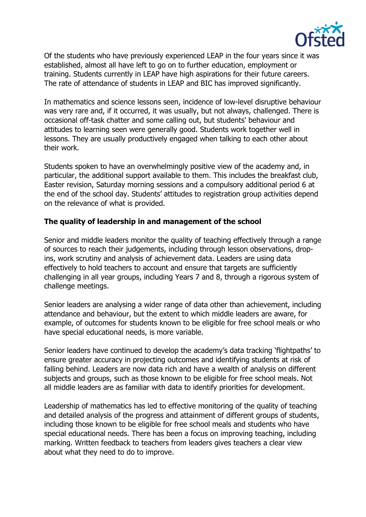

Of the students who have previously experienced LEAP in the four years since it was established, almost all have left to go on to further education, employment or training. Students currently in LEAP have high aspirations for their future careers. The rate of attendance of students in LEAP and BIC has improved significantly.

In mathematics and science lessons seen, incidence of low-level disruptive behaviour was very rare and, if it occurred, it was usually, but not always, challenged. There is occasional off-task chatter and some calling out, but students' behaviour and attitudes to learning seen were generally good. Students work together well in lessons. They are usually productively engaged when talking to each other about their work.

Students spoken to have an overwhelmingly positive view of the academy and, in particular, the additional support available to them. This includes the breakfast club, Easter revision, Saturday morning sessions and a compulsory additional period 6 at the end of the school day. Students' attitudes to registration group activities depend on the relevance of what is provided.

# **The quality of leadership in and management of the school**

Senior and middle leaders monitor the quality of teaching effectively through a range of sources to reach their judgements, including through lesson observations, dropins, work scrutiny and analysis of achievement data. Leaders are using data effectively to hold teachers to account and ensure that targets are sufficiently challenging in all year groups, including Years 7 and 8, through a rigorous system of challenge meetings.

Senior leaders are analysing a wider range of data other than achievement, including attendance and behaviour, but the extent to which middle leaders are aware, for example, of outcomes for students known to be eligible for free school meals or who have special educational needs, is more variable.

Senior leaders have continued to develop the academy's data tracking 'flightpaths' to ensure greater accuracy in projecting outcomes and identifying students at risk of falling behind. Leaders are now data rich and have a wealth of analysis on different subjects and groups, such as those known to be eligible for free school meals. Not all middle leaders are as familiar with data to identify priorities for development.

Leadership of mathematics has led to effective monitoring of the quality of teaching and detailed analysis of the progress and attainment of different groups of students, including those known to be eligible for free school meals and students who have special educational needs. There has been a focus on improving teaching, including marking. Written feedback to teachers from leaders gives teachers a clear view about what they need to do to improve.